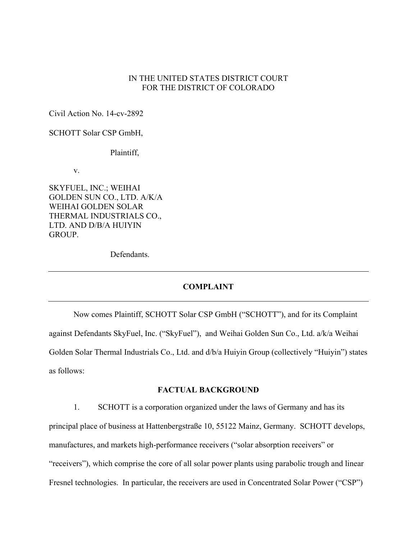## IN THE UNITED STATES DISTRICT COURT FOR THE DISTRICT OF COLORADO

Civil Action No. 14-cv-2892

SCHOTT Solar CSP GmbH,

Plaintiff,

v.

SKYFUEL, INC.; WEIHAI GOLDEN SUN CO., LTD. A/K/A WEIHAI GOLDEN SOLAR THERMAL INDUSTRIALS CO., LTD. AND D/B/A HUIYIN GROUP.

Defendants.

#### **COMPLAINT**

Now comes Plaintiff, SCHOTT Solar CSP GmbH ("SCHOTT"), and for its Complaint against Defendants SkyFuel, Inc. ("SkyFuel"), and Weihai Golden Sun Co., Ltd. a/k/a Weihai Golden Solar Thermal Industrials Co., Ltd. and d/b/a Huiyin Group (collectively "Huiyin") states as follows:

### **FACTUAL BACKGROUND**

1. SCHOTT is a corporation organized under the laws of Germany and has its principal place of business at Hattenbergstraße 10, 55122 Mainz, Germany. SCHOTT develops, manufactures, and markets high-performance receivers ("solar absorption receivers" or "receivers"), which comprise the core of all solar power plants using parabolic trough and linear Fresnel technologies. In particular, the receivers are used in Concentrated Solar Power ("CSP")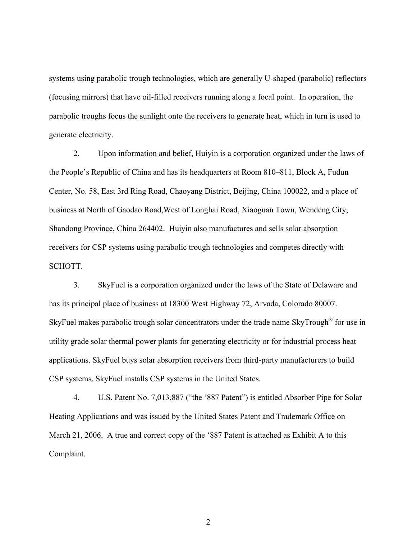systems using parabolic trough technologies, which are generally U-shaped (parabolic) reflectors (focusing mirrors) that have oil-filled receivers running along a focal point. In operation, the parabolic troughs focus the sunlight onto the receivers to generate heat, which in turn is used to generate electricity.

2. Upon information and belief, Huiyin is a corporation organized under the laws of the People's Republic of China and has its headquarters at Room 810–811, Block A, Fudun Center, No. 58, East 3rd Ring Road, Chaoyang District, Beijing, China 100022, and a place of business at North of Gaodao Road,West of Longhai Road, Xiaoguan Town, Wendeng City, Shandong Province, China 264402. Huiyin also manufactures and sells solar absorption receivers for CSP systems using parabolic trough technologies and competes directly with SCHOTT.

3. SkyFuel is a corporation organized under the laws of the State of Delaware and has its principal place of business at 18300 West Highway 72, Arvada, Colorado 80007. SkyFuel makes parabolic trough solar concentrators under the trade name SkyTrough<sup>®</sup> for use in utility grade solar thermal power plants for generating electricity or for industrial process heat applications. SkyFuel buys solar absorption receivers from third-party manufacturers to build CSP systems. SkyFuel installs CSP systems in the United States.

4. U.S. Patent No. 7,013,887 ("the '887 Patent") is entitled Absorber Pipe for Solar Heating Applications and was issued by the United States Patent and Trademark Office on March 21, 2006. A true and correct copy of the '887 Patent is attached as Exhibit A to this Complaint.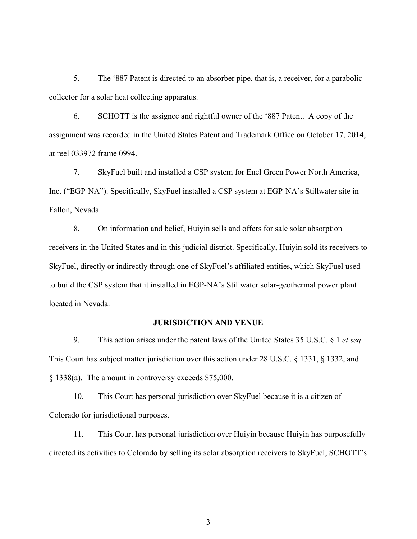5. The '887 Patent is directed to an absorber pipe, that is, a receiver, for a parabolic collector for a solar heat collecting apparatus.

6. SCHOTT is the assignee and rightful owner of the '887 Patent. A copy of the assignment was recorded in the United States Patent and Trademark Office on October 17, 2014, at reel 033972 frame 0994.

7. SkyFuel built and installed a CSP system for Enel Green Power North America, Inc. ("EGP-NA"). Specifically, SkyFuel installed a CSP system at EGP-NA's Stillwater site in Fallon, Nevada.

8. On information and belief, Huiyin sells and offers for sale solar absorption receivers in the United States and in this judicial district. Specifically, Huiyin sold its receivers to SkyFuel, directly or indirectly through one of SkyFuel's affiliated entities, which SkyFuel used to build the CSP system that it installed in EGP-NA's Stillwater solar-geothermal power plant located in Nevada.

### **JURISDICTION AND VENUE**

9. This action arises under the patent laws of the United States 35 U.S.C. § 1 *et seq*. This Court has subject matter jurisdiction over this action under 28 U.S.C. § 1331, § 1332, and § 1338(a). The amount in controversy exceeds \$75,000.

10. This Court has personal jurisdiction over SkyFuel because it is a citizen of Colorado for jurisdictional purposes.

11. This Court has personal jurisdiction over Huiyin because Huiyin has purposefully directed its activities to Colorado by selling its solar absorption receivers to SkyFuel, SCHOTT's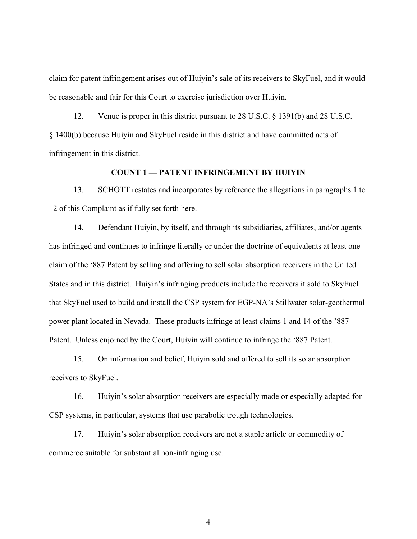claim for patent infringement arises out of Huiyin's sale of its receivers to SkyFuel, and it would be reasonable and fair for this Court to exercise jurisdiction over Huiyin.

12. Venue is proper in this district pursuant to 28 U.S.C. § 1391(b) and 28 U.S.C. § 1400(b) because Huiyin and SkyFuel reside in this district and have committed acts of infringement in this district.

## **COUNT 1 — PATENT INFRINGEMENT BY HUIYIN**

13. SCHOTT restates and incorporates by reference the allegations in paragraphs 1 to 12 of this Complaint as if fully set forth here.

14. Defendant Huiyin, by itself, and through its subsidiaries, affiliates, and/or agents has infringed and continues to infringe literally or under the doctrine of equivalents at least one claim of the '887 Patent by selling and offering to sell solar absorption receivers in the United States and in this district. Huiyin's infringing products include the receivers it sold to SkyFuel that SkyFuel used to build and install the CSP system for EGP-NA's Stillwater solar-geothermal power plant located in Nevada. These products infringe at least claims 1 and 14 of the '887 Patent. Unless enjoined by the Court, Huiyin will continue to infringe the '887 Patent.

15. On information and belief, Huiyin sold and offered to sell its solar absorption receivers to SkyFuel.

16. Huiyin's solar absorption receivers are especially made or especially adapted for CSP systems, in particular, systems that use parabolic trough technologies.

17. Huiyin's solar absorption receivers are not a staple article or commodity of commerce suitable for substantial non-infringing use.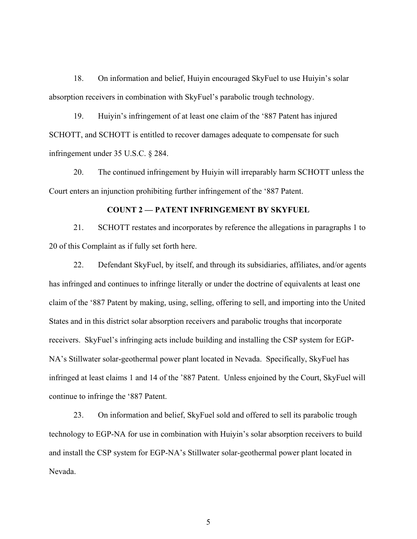18. On information and belief, Huiyin encouraged SkyFuel to use Huiyin's solar absorption receivers in combination with SkyFuel's parabolic trough technology.

19. Huiyin's infringement of at least one claim of the '887 Patent has injured SCHOTT, and SCHOTT is entitled to recover damages adequate to compensate for such infringement under 35 U.S.C. § 284.

20. The continued infringement by Huiyin will irreparably harm SCHOTT unless the Court enters an injunction prohibiting further infringement of the '887 Patent.

### **COUNT 2 — PATENT INFRINGEMENT BY SKYFUEL**

21. SCHOTT restates and incorporates by reference the allegations in paragraphs 1 to 20 of this Complaint as if fully set forth here.

22. Defendant SkyFuel, by itself, and through its subsidiaries, affiliates, and/or agents has infringed and continues to infringe literally or under the doctrine of equivalents at least one claim of the '887 Patent by making, using, selling, offering to sell, and importing into the United States and in this district solar absorption receivers and parabolic troughs that incorporate receivers. SkyFuel's infringing acts include building and installing the CSP system for EGP-NA's Stillwater solar-geothermal power plant located in Nevada. Specifically, SkyFuel has infringed at least claims 1 and 14 of the '887 Patent. Unless enjoined by the Court, SkyFuel will continue to infringe the '887 Patent.

23. On information and belief, SkyFuel sold and offered to sell its parabolic trough technology to EGP-NA for use in combination with Huiyin's solar absorption receivers to build and install the CSP system for EGP-NA's Stillwater solar-geothermal power plant located in Nevada.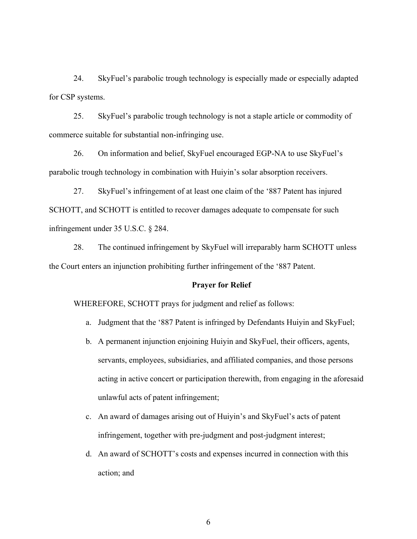24. SkyFuel's parabolic trough technology is especially made or especially adapted for CSP systems.

25. SkyFuel's parabolic trough technology is not a staple article or commodity of commerce suitable for substantial non-infringing use.

26. On information and belief, SkyFuel encouraged EGP-NA to use SkyFuel's parabolic trough technology in combination with Huiyin's solar absorption receivers.

27. SkyFuel's infringement of at least one claim of the '887 Patent has injured SCHOTT, and SCHOTT is entitled to recover damages adequate to compensate for such infringement under 35 U.S.C. § 284.

28. The continued infringement by SkyFuel will irreparably harm SCHOTT unless the Court enters an injunction prohibiting further infringement of the '887 Patent.

# **Prayer for Relief**

WHEREFORE, SCHOTT prays for judgment and relief as follows:

- a. Judgment that the '887 Patent is infringed by Defendants Huiyin and SkyFuel;
- b. A permanent injunction enjoining Huiyin and SkyFuel, their officers, agents, servants, employees, subsidiaries, and affiliated companies, and those persons acting in active concert or participation therewith, from engaging in the aforesaid unlawful acts of patent infringement;
- c. An award of damages arising out of Huiyin's and SkyFuel's acts of patent infringement, together with pre-judgment and post-judgment interest;
- d. An award of SCHOTT's costs and expenses incurred in connection with this action; and